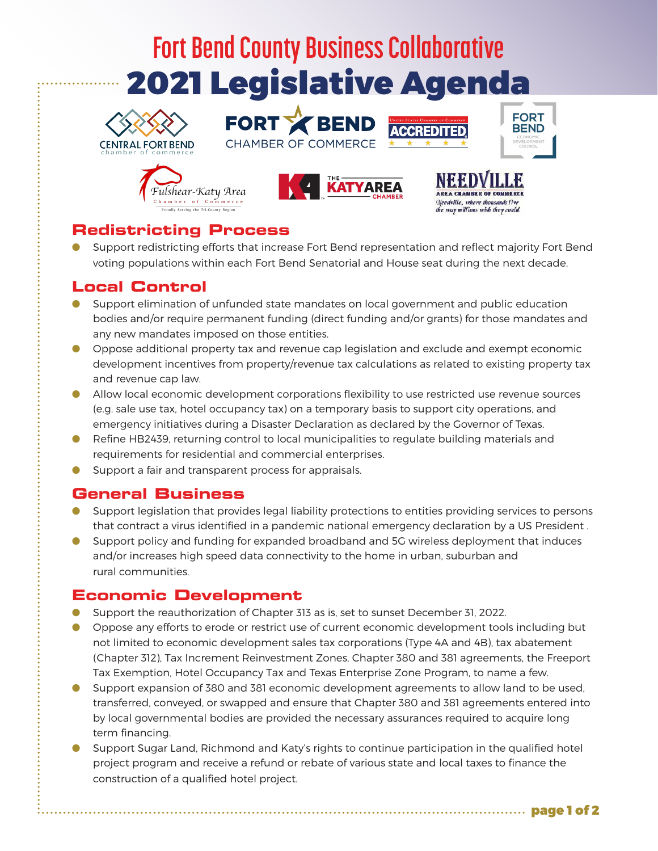# **Fort Bend County Business Collaborative** 2021 Legislative Agenda

**FORT X BEN** 

CHAMBER OF COMMERCE









**FORT** 

**BEND** 

## **Redistricting Process**

O Support redistricting efforts that increase Fort Bend representation and reflect majority Fort Bend voting populations within each Fort Bend Senatorial and House seat during the next decade.

### **Local Control**

- Support elimination of unfunded state mandates on local government and public education bodies and/or require permanent funding (direct funding and/or grants) for those mandates and any new mandates imposed on those entities.
- O Oppose additional property tax and revenue cap legislation and exclude and exempt economic development incentives from property/revenue tax calculations as related to existing property tax and revenue cap law.
- O Allow local economic development corporations flexibility to use restricted use revenue sources (e.g. sale use tax, hotel occupancy tax) on a temporary basis to support city operations, and emergency initiatives during a Disaster Declaration as declared by the Governor of Texas.
- O Refine HB2439, returning control to local municipalities to regulate building materials and requirements for residential and commercial enterprises.
- O Support a fair and transparent process for appraisals.

### **General Business**

- O Support legislation that provides legal liability protections to entities providing services to persons that contract a virus identified in a pandemic national emergency declaration by a US President .
- O Support policy and funding for expanded broadband and 5G wireless deployment that induces and/or increases high speed data connectivity to the home in urban, suburban and rural communities.

### **Economic Development**

- O Support the reauthorization of Chapter 313 as is, set to sunset December 31, 2022.
- O Oppose any efforts to erode or restrict use of current economic development tools including but not limited to economic development sales tax corporations (Type 4A and 4B), tax abatement (Chapter 312), Tax Increment Reinvestment Zones, Chapter 380 and 381 agreements, the Freeport Tax Exemption, Hotel Occupancy Tax and Texas Enterprise Zone Program, to name a few.
- O Support expansion of 380 and 381 economic development agreements to allow land to be used, transferred, conveyed, or swapped and ensure that Chapter 380 and 381 agreements entered into by local governmental bodies are provided the necessary assurances required to acquire long term financing.
- O Support Sugar Land, Richmond and Katy's rights to continue participation in the qualified hotel project program and receive a refund or rebate of various state and local taxes to finance the construction of a qualified hotel project.